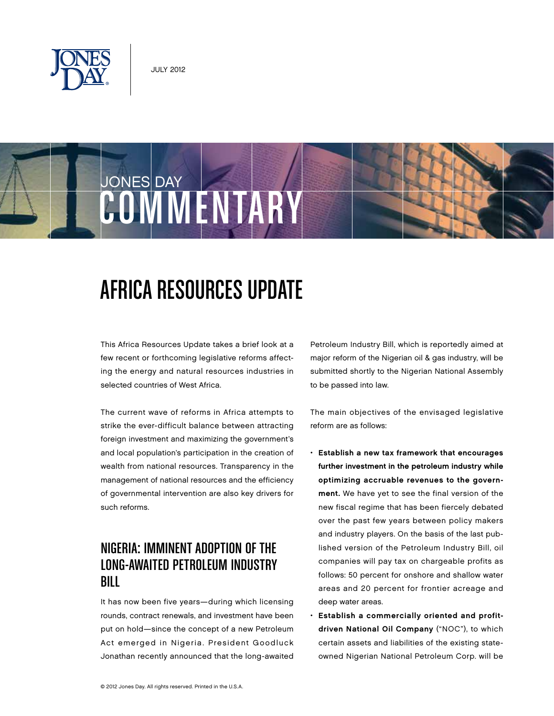





# Africa Resources Update

This Africa Resources Update takes a brief look at a few recent or forthcoming legislative reforms affecting the energy and natural resources industries in selected countries of West Africa.

The current wave of reforms in Africa attempts to strike the ever-difficult balance between attracting foreign investment and maximizing the government's and local population's participation in the creation of wealth from national resources. Transparency in the management of national resources and the efficiency of governmental intervention are also key drivers for such reforms.

## Nigeria: Imminent Adoption of the Long-Awaited Petroleum Industry Bill

It has now been five years—during which licensing rounds, contract renewals, and investment have been put on hold—since the concept of a new Petroleum Act emerged in Nigeria. President Goodluck Jonathan recently announced that the long-awaited Petroleum Industry Bill, which is reportedly aimed at major reform of the Nigerian oil & gas industry, will be submitted shortly to the Nigerian National Assembly to be passed into law.

The main objectives of the envisaged legislative reform are as follows:

- • Establish a new tax framework that encourages further investment in the petroleum industry while optimizing accruable revenues to the government. We have yet to see the final version of the new fiscal regime that has been fiercely debated over the past few years between policy makers and industry players. On the basis of the last published version of the Petroleum Industry Bill, oil companies will pay tax on chargeable profits as follows: 50 percent for onshore and shallow water areas and 20 percent for frontier acreage and deep water areas.
- • Establish a commercially oriented and profitdriven National Oil Company ("NOC"), to which certain assets and liabilities of the existing stateowned Nigerian National Petroleum Corp. will be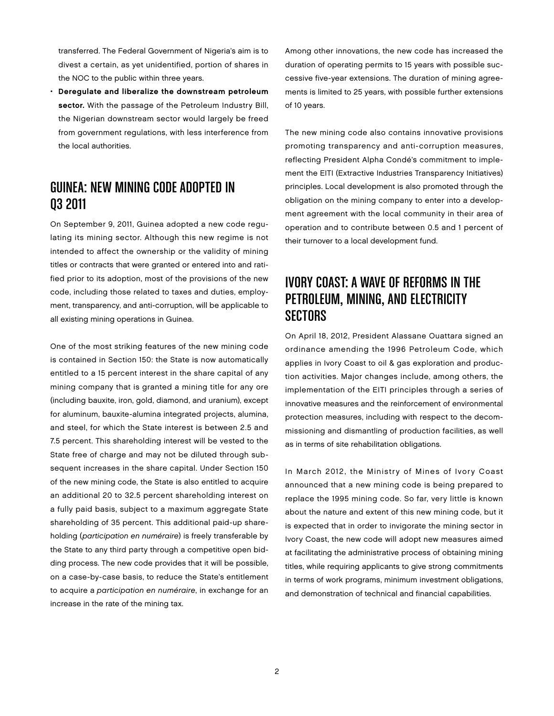transferred. The Federal Government of Nigeria's aim is to divest a certain, as yet unidentified, portion of shares in the NOC to the public within three years.

• Deregulate and liberalize the downstream petroleum sector. With the passage of the Petroleum Industry Bill, the Nigerian downstream sector would largely be freed from government regulations, with less interference from the local authorities.

## Guinea: New Mining Code Adopted in Q3 2011

On September 9, 2011, Guinea adopted a new code regulating its mining sector. Although this new regime is not intended to affect the ownership or the validity of mining titles or contracts that were granted or entered into and ratified prior to its adoption, most of the provisions of the new code, including those related to taxes and duties, employment, transparency, and anti-corruption, will be applicable to all existing mining operations in Guinea.

One of the most striking features of the new mining code is contained in Section 150: the State is now automatically entitled to a 15 percent interest in the share capital of any mining company that is granted a mining title for any ore (including bauxite, iron, gold, diamond, and uranium), except for aluminum, bauxite-alumina integrated projects, alumina, and steel, for which the State interest is between 2.5 and 7.5 percent. This shareholding interest will be vested to the State free of charge and may not be diluted through subsequent increases in the share capital. Under Section 150 of the new mining code, the State is also entitled to acquire an additional 20 to 32.5 percent shareholding interest on a fully paid basis, subject to a maximum aggregate State shareholding of 35 percent. This additional paid-up shareholding (participation en numéraire) is freely transferable by the State to any third party through a competitive open bidding process. The new code provides that it will be possible, on a case-by-case basis, to reduce the State's entitlement to acquire a participation en numéraire, in exchange for an increase in the rate of the mining tax.

Among other innovations, the new code has increased the duration of operating permits to 15 years with possible successive five-year extensions. The duration of mining agreements is limited to 25 years, with possible further extensions of 10 years.

The new mining code also contains innovative provisions promoting transparency and anti-corruption measures, reflecting President Alpha Condé's commitment to implement the EITI (Extractive Industries Transparency Initiatives) principles. Local development is also promoted through the obligation on the mining company to enter into a development agreement with the local community in their area of operation and to contribute between 0.5 and 1 percent of their turnover to a local development fund.

## Ivory Coast: A Wave of Reforms in the Petroleum, Mining, and Electricity **SECTORS**

On April 18, 2012, President Alassane Ouattara signed an ordinance amending the 1996 Petroleum Code, which applies in Ivory Coast to oil & gas exploration and production activities. Major changes include, among others, the implementation of the EITI principles through a series of innovative measures and the reinforcement of environmental protection measures, including with respect to the decommissioning and dismantling of production facilities, as well as in terms of site rehabilitation obligations.

In March 2012, the Ministry of Mines of Ivory Coast announced that a new mining code is being prepared to replace the 1995 mining code. So far, very little is known about the nature and extent of this new mining code, but it is expected that in order to invigorate the mining sector in Ivory Coast, the new code will adopt new measures aimed at facilitating the administrative process of obtaining mining titles, while requiring applicants to give strong commitments in terms of work programs, minimum investment obligations, and demonstration of technical and financial capabilities.